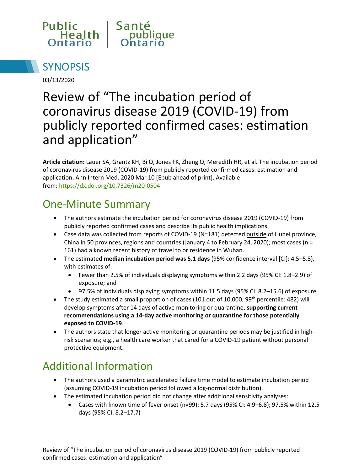



03/13/2020

# Review of "The incubation period of coronavirus disease 2019 (COVID-19) from publicly reported confirmed cases: estimation and application"

**Article citation:** Lauer SA, Grantz KH, Bi Q, Jones FK, Zheng Q, Meredith HR, et al. The incubation period of coronavirus disease 2019 (COVID-19) from publicly reported confirmed cases: estimation and application**.** Ann Intern Med. 2020 Mar 10 [Epub ahead of print]. Available from: <https://dx.doi.org/10.7326/m20-0504>

# One-Minute Summary

- The authors estimate the incubation period for coronavirus disease 2019 (COVID-19) from publicly reported confirmed cases and describe its public health implications.
- Case data was collected from reports of COVID-19 (N=181) detected outside of Hubei province, China in 50 provinces, regions and countries (January 4 to February 24, 2020); most cases ( $n =$ 161) had a known recent history of travel to or residence in Wuhan.
- The estimated **median incubation period was 5.1 days** (95% confidence interval [CI]: 4.5–5.8), with estimates of:
	- Fewer than 2.5% of individuals displaying symptoms within 2.2 days (95% CI: 1.8–2.9) of exposure; and
	- 97.5% of individuals displaying symptoms within 11.5 days (95% CI: 8.2–15.6) of exposure.
- The study estimated a small proportion of cases (101 out of 10,000; 99<sup>th</sup> percentile: 482) will develop symptoms after 14 days of active monitoring or quarantine, **supporting current recommendations using a 14-day active monitoring or quarantine for those potentially exposed to COVID-19**.
- The authors state that longer active monitoring or quarantine periods may be justified in highrisk scenarios; e.g., a health care worker that cared for a COVID-19 patient without personal protective equipment.

## Additional Information

- The authors used a parametric accelerated failure time model to estimate incubation period (assuming COVID-19 incubation period followed a log-normal distribution).
- The estimated incubation period did not change after additional sensitivity analyses:
	- Cases with known time of fever onset (n=99): 5.7 days (95% CI: 4.9–6.8); 97.5% within 12.5 days (95% CI: 8.2–17.7)

Review of "The incubation period of coronavirus disease 2019 (COVID-19) from publicly reported confirmed cases: estimation and application"